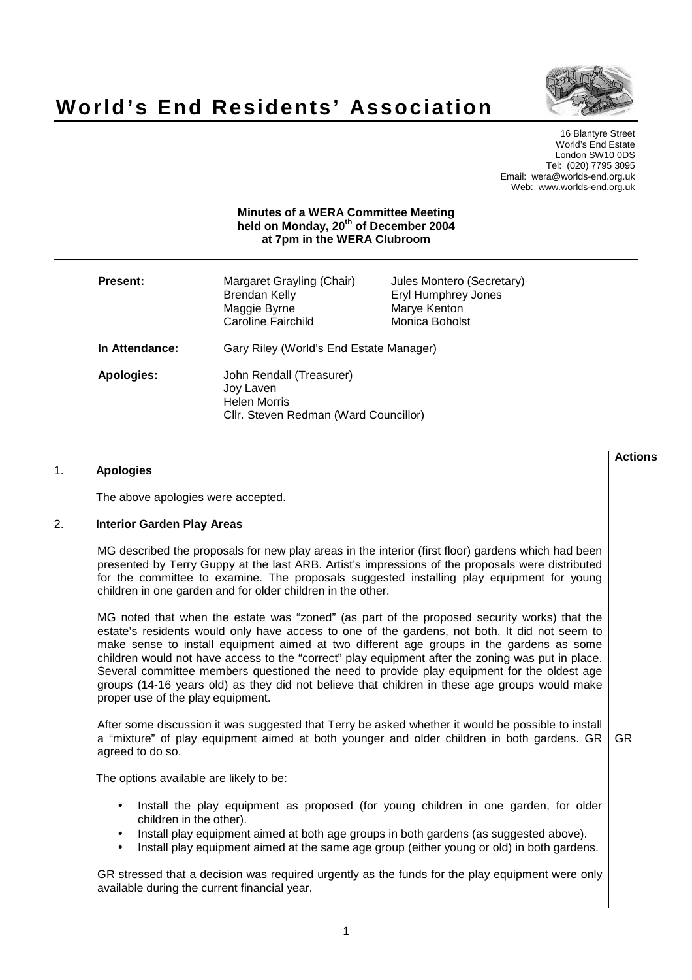



**Actions**

16 Blantyre Street World's End Estate London SW10 0DS Tel: (020) 7795 3095 Email: wera@worlds-end.org.uk Web: www.worlds-end.org.uk

#### **Minutes of a WERA Committee Meeting held on Monday, 20 th of December 2004 at 7pm in the WERA Clubroom**

| <b>Present:</b> | Margaret Grayling (Chair)<br>Brendan Kelly<br>Maggie Byrne<br><b>Caroline Fairchild</b>               | Jules Montero (Secretary)<br>Eryl Humphrey Jones<br>Marye Kenton<br>Monica Boholst |
|-----------------|-------------------------------------------------------------------------------------------------------|------------------------------------------------------------------------------------|
| In Attendance:  | Gary Riley (World's End Estate Manager)                                                               |                                                                                    |
| Apologies:      | John Rendall (Treasurer)<br>Joy Laven<br><b>Helen Morris</b><br>Cllr. Steven Redman (Ward Councillor) |                                                                                    |

# 1. **Apologies**

The above apologies were accepted.

### 2. **Interior Garden Play Areas**

MG described the proposals for new play areas in the interior (first floor) gardens which had been presented by Terry Guppy at the last ARB. Artist's impressions of the proposals were distributed for the committee to examine. The proposals suggested installing play equipment for young children in one garden and for older children in the other.

MG noted that when the estate was "zoned" (as part of the proposed security works) that the estate's residents would only have access to one of the gardens, not both. It did not seem to make sense to install equipment aimed at two different age groups in the gardens as some children would not have access to the "correct" play equipment after the zoning was put in place. Several committee members questioned the need to provide play equipment for the oldest age groups (14-16 years old) as they did not believe that children in these age groups would make proper use of the play equipment.

After some discussion it was suggested that Terry be asked whether it would be possible to install a "mixture" of play equipment aimed at both younger and older children in both gardens. GR agreed to do so. GR

The options available are likely to be:

- Install the play equipment as proposed (for young children in one garden, for older children in the other).
- Install play equipment aimed at both age groups in both gardens (as suggested above).
- Install play equipment aimed at the same age group (either young or old) in both gardens.

GR stressed that a decision was required urgently as the funds for the play equipment were only available during the current financial year.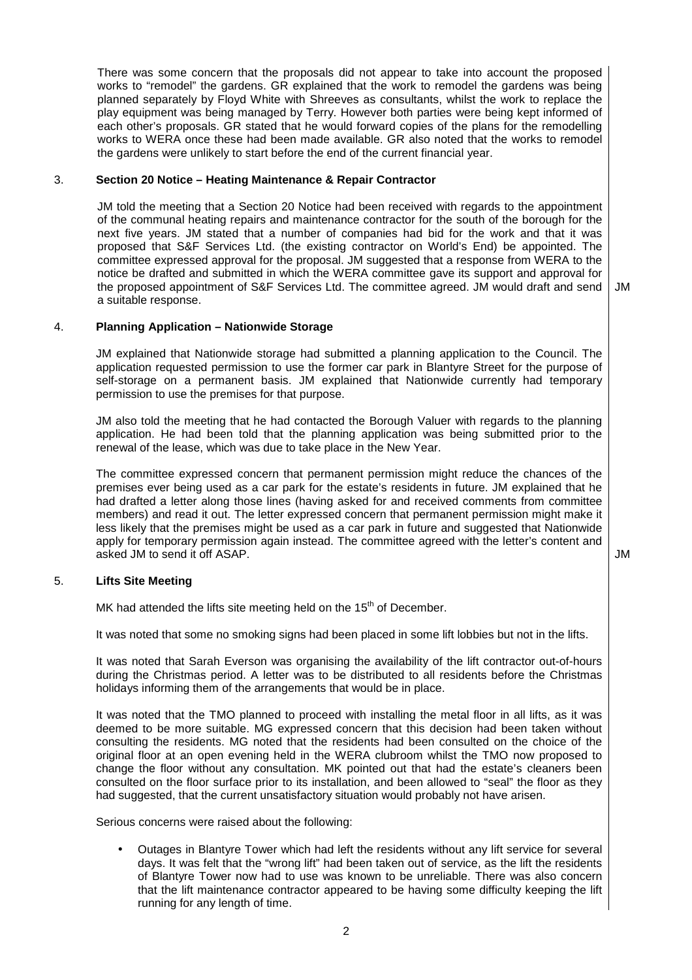There was some concern that the proposals did not appear to take into account the proposed works to "remodel" the gardens. GR explained that the work to remodel the gardens was being planned separately by Floyd White with Shreeves as consultants, whilst the work to replace the play equipment was being managed by Terry. However both parties were being kept informed of each other's proposals. GR stated that he would forward copies of the plans for the remodelling works to WERA once these had been made available. GR also noted that the works to remodel the gardens were unlikely to start before the end of the current financial year.

## 3. **Section 20 Notice – Heating Maintenance & Repair Contractor**

JM told the meeting that a Section 20 Notice had been received with regards to the appointment of the communal heating repairs and maintenance contractor for the south of the borough for the next five years. JM stated that a number of companies had bid for the work and that it was proposed that S&F Services Ltd. (the existing contractor on World's End) be appointed. The committee expressed approval for the proposal. JM suggested that a response from WERA to the notice be drafted and submitted in which the WERA committee gave its support and approval for the proposed appointment of S&F Services Ltd. The committee agreed. JM would draft and send a suitable response.

JM

### 4. **Planning Application – Nationwide Storage**

JM explained that Nationwide storage had submitted a planning application to the Council. The application requested permission to use the former car park in Blantyre Street for the purpose of self-storage on a permanent basis. JM explained that Nationwide currently had temporary permission to use the premises for that purpose.

JM also told the meeting that he had contacted the Borough Valuer with regards to the planning application. He had been told that the planning application was being submitted prior to the renewal of the lease, which was due to take place in the New Year.

The committee expressed concern that permanent permission might reduce the chances of the premises ever being used as a car park for the estate's residents in future. JM explained that he had drafted a letter along those lines (having asked for and received comments from committee members) and read it out. The letter expressed concern that permanent permission might make it less likely that the premises might be used as a car park in future and suggested that Nationwide apply for temporary permission again instead. The committee agreed with the letter's content and asked JM to send it off ASAP.  $\overline{\phantom{a}}$  JM

### 5. **Lifts Site Meeting**

MK had attended the lifts site meeting held on the 15<sup>th</sup> of December.

It was noted that some no smoking signs had been placed in some lift lobbies but not in the lifts.

It was noted that Sarah Everson was organising the availability of the lift contractor out-of-hours during the Christmas period. A letter was to be distributed to all residents before the Christmas holidays informing them of the arrangements that would be in place.

It was noted that the TMO planned to proceed with installing the metal floor in all lifts, as it was deemed to be more suitable. MG expressed concern that this decision had been taken without consulting the residents. MG noted that the residents had been consulted on the choice of the original floor at an open evening held in the WERA clubroom whilst the TMO now proposed to change the floor without any consultation. MK pointed out that had the estate's cleaners been consulted on the floor surface prior to its installation, and been allowed to "seal" the floor as they had suggested, that the current unsatisfactory situation would probably not have arisen.

Serious concerns were raised about the following:

• Outages in Blantyre Tower which had left the residents without any lift service for several days. It was felt that the "wrong lift" had been taken out of service, as the lift the residents of Blantyre Tower now had to use was known to be unreliable. There was also concern that the lift maintenance contractor appeared to be having some difficulty keeping the lift running for any length of time.